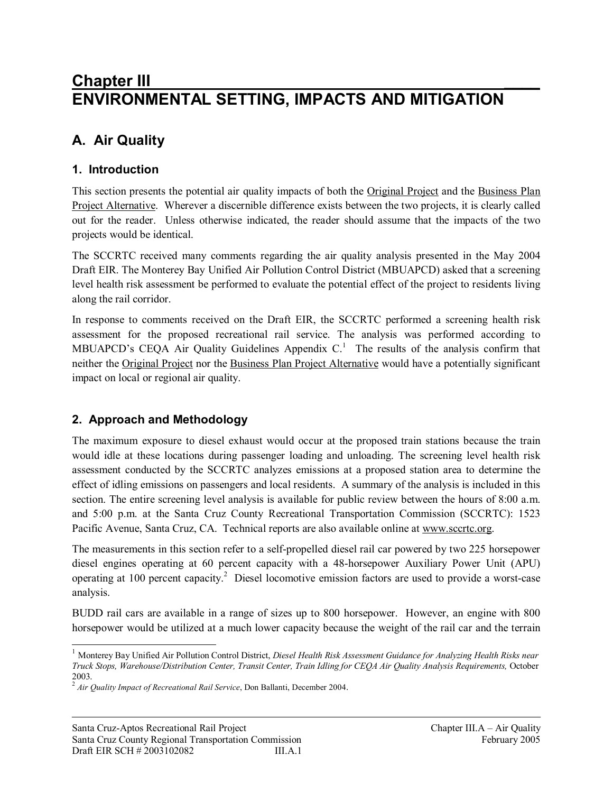# **Chapter III \_\_\_\_ ENVIRONMENTAL SETTING, IMPACTS AND MITIGATION**

# **A. Air Quality**

# **1. Introduction**

This section presents the potential air quality impacts of both the Original Project and the Business Plan Project Alternative. Wherever a discernible difference exists between the two projects, it is clearly called out for the reader. Unless otherwise indicated, the reader should assume that the impacts of the two projects would be identical.

The SCCRTC received many comments regarding the air quality analysis presented in the May 2004 Draft EIR. The Monterey Bay Unified Air Pollution Control District (MBUAPCD) asked that a screening level health risk assessment be performed to evaluate the potential effect of the project to residents living along the rail corridor.

In response to comments received on the Draft EIR, the SCCRTC performed a screening health risk assessment for the proposed recreational rail service. The analysis was performed according to MBUAPCD's CEQA Air Quality Guidelines Appendix  $C<sup>1</sup>$ . The results of the analysis confirm that neither the Original Project nor the Business Plan Project Alternative would have a potentially significant impact on local or regional air quality.

# **2. Approach and Methodology**

 $\overline{a}$ 

The maximum exposure to diesel exhaust would occur at the proposed train stations because the train would idle at these locations during passenger loading and unloading. The screening level health risk assessment conducted by the SCCRTC analyzes emissions at a proposed station area to determine the effect of idling emissions on passengers and local residents. A summary of the analysis is included in this section. The entire screening level analysis is available for public review between the hours of 8:00 a.m. and 5:00 p.m. at the Santa Cruz County Recreational Transportation Commission (SCCRTC): 1523 Pacific Avenue, Santa Cruz, CA. Technical reports are also available online at [www.sccrtc.org](http://www.sccrtc.org).

The measurements in this section refer to a self-propelled diesel rail car powered by two 225 horsepower diesel engines operating at 60 percent capacity with a 48-horsepower Auxiliary Power Unit (APU) operating at 100 percent capacity.<sup>2</sup> Diesel locomotive emission factors are used to provide a worst-case analysis.

BUDD rail cars are available in a range of sizes up to 800 horsepower. However, an engine with 800 horsepower would be utilized at a much lower capacity because the weight of the rail car and the terrain

<sup>1</sup> Monterey Bay Unified Air Pollution Control District, *Diesel Health Risk Assessment Guidance for Analyzing Health Risks near Truck Stops, Warehouse/Distribution Center, Transit Center, Train Idling for CEQA Air Quality Analysis Requirements,* October

<sup>2003.</sup> 2 *Air Quality Impact of Recreational Rail Service*, Don Ballanti, December 2004.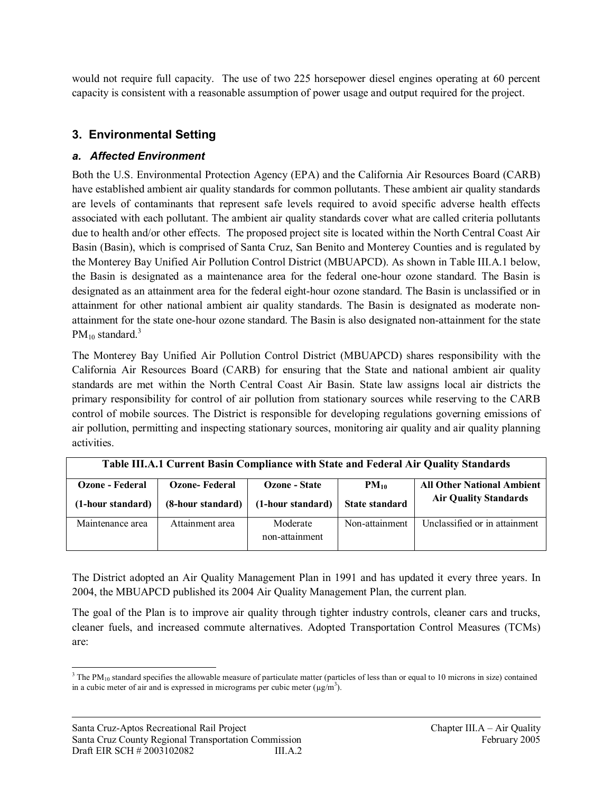would not require full capacity. The use of two 225 horsepower diesel engines operating at 60 percent capacity is consistent with a reasonable assumption of power usage and output required for the project.

# **3. Environmental Setting**

## *a. Affected Environment*

Both the U.S. Environmental Protection Agency (EPA) and the California Air Resources Board (CARB) have established ambient air quality standards for common pollutants. These ambient air quality standards are levels of contaminants that represent safe levels required to avoid specific adverse health effects associated with each pollutant. The ambient air quality standards cover what are called criteria pollutants due to health and/or other effects. The proposed project site is located within the North Central Coast Air Basin (Basin), which is comprised of Santa Cruz, San Benito and Monterey Counties and is regulated by the Monterey Bay Unified Air Pollution Control District (MBUAPCD). As shown in Table III.A.1 below, the Basin is designated as a maintenance area for the federal one-hour ozone standard. The Basin is designated as an attainment area for the federal eight-hour ozone standard. The Basin is unclassified or in attainment for other national ambient air quality standards. The Basin is designated as moderate nonattainment for the state one-hour ozone standard. The Basin is also designated non-attainment for the state  $PM_{10}$  standard.<sup>3</sup>

The Monterey Bay Unified Air Pollution Control District (MBUAPCD) shares responsibility with the California Air Resources Board (CARB) for ensuring that the State and national ambient air quality standards are met within the North Central Coast Air Basin. State law assigns local air districts the primary responsibility for control of air pollution from stationary sources while reserving to the CARB control of mobile sources. The District is responsible for developing regulations governing emissions of air pollution, permitting and inspecting stationary sources, monitoring air quality and air quality planning activities.

| Table III.A.1 Current Basin Compliance with State and Federal Air Quality Standards |  |
|-------------------------------------------------------------------------------------|--|
|-------------------------------------------------------------------------------------|--|

| Ozone - Federal   | <b>Ozone-Federal</b> | Ozone - State              | $PM_{10}$             | <b>All Other National Ambient</b> |
|-------------------|----------------------|----------------------------|-----------------------|-----------------------------------|
| (1-hour standard) | (8-hour standard)    | (1-hour standard)          | <b>State standard</b> | <b>Air Quality Standards</b>      |
| Maintenance area  | Attainment area      | Moderate<br>non-attainment | Non-attainment        | Unclassified or in attainment     |

The District adopted an Air Quality Management Plan in 1991 and has updated it every three years. In 2004, the MBUAPCD published its 2004 Air Quality Management Plan, the current plan.

The goal of the Plan is to improve air quality through tighter industry controls, cleaner cars and trucks, cleaner fuels, and increased commute alternatives. Adopted Transportation Control Measures (TCMs) are:

<sup>&</sup>lt;sup>3</sup> The PM<sub>10</sub> standard specifies the allowable measure of particulate matter (particles of less than or equal to 10 microns in size) contained in a cubic meter of air and is expressed in micrograms per cubic meter  $(\mu g/m^3)$ .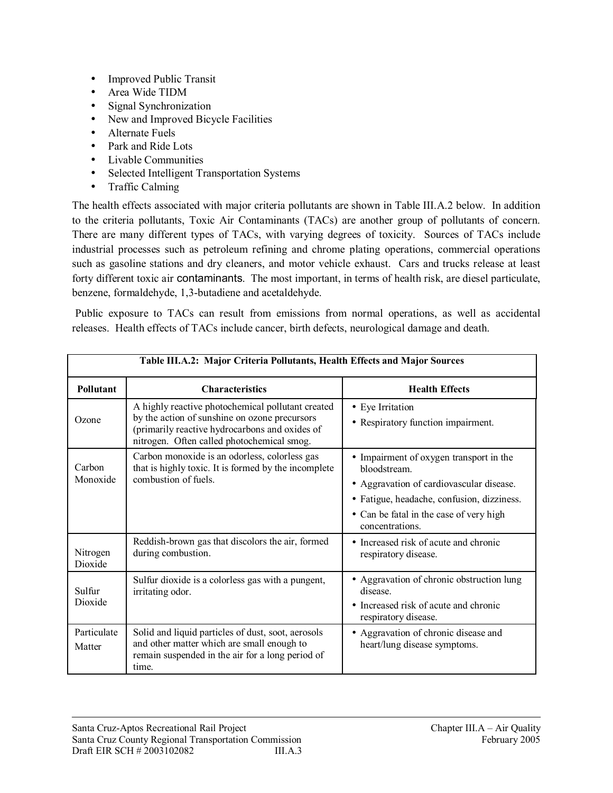- Improved Public Transit
- Area Wide TIDM
- Signal Synchronization
- New and Improved Bicycle Facilities
- Alternate Fuels
- Park and Ride Lots
- Livable Communities
- Selected Intelligent Transportation Systems
- Traffic Calming

The health effects associated with major criteria pollutants are shown in Table III.A.2 below. In addition to the criteria pollutants, Toxic Air Contaminants (TACs) are another group of pollutants of concern. There are many different types of TACs, with varying degrees of toxicity. Sources of TACs include industrial processes such as petroleum refining and chrome plating operations, commercial operations such as gasoline stations and dry cleaners, and motor vehicle exhaust. Cars and trucks release at least forty different toxic air contaminants. The most important, in terms of health risk, are diesel particulate, benzene, formaldehyde, 1,3-butadiene and acetaldehyde.

Public exposure to TACs can result from emissions from normal operations, as well as accidental releases. Health effects of TACs include cancer, birth defects, neurological damage and death.

| Table III.A.2: Major Criteria Pollutants, Health Effects and Major Sources |                                                                                                                                                                                                    |                                                                                                          |  |
|----------------------------------------------------------------------------|----------------------------------------------------------------------------------------------------------------------------------------------------------------------------------------------------|----------------------------------------------------------------------------------------------------------|--|
| <b>Pollutant</b>                                                           | <b>Characteristics</b>                                                                                                                                                                             | <b>Health Effects</b>                                                                                    |  |
| Ozone                                                                      | A highly reactive photochemical pollutant created<br>by the action of sunshine on ozone precursors<br>(primarily reactive hydrocarbons and oxides of<br>nitrogen. Often called photochemical smog. | • Eye Irritation<br>• Respiratory function impairment.                                                   |  |
| Carbon<br>Monoxide                                                         | Carbon monoxide is an odorless, colorless gas<br>that is highly toxic. It is formed by the incomplete<br>combustion of fuels.                                                                      | • Impairment of oxygen transport in the<br>bloodstream.                                                  |  |
|                                                                            |                                                                                                                                                                                                    | • Aggravation of cardiovascular disease.                                                                 |  |
|                                                                            |                                                                                                                                                                                                    | • Fatigue, headache, confusion, dizziness.<br>• Can be fatal in the case of very high<br>concentrations. |  |
| Nitrogen<br>Dioxide                                                        | Reddish-brown gas that discolors the air, formed<br>during combustion.                                                                                                                             | • Increased risk of acute and chronic<br>respiratory disease.                                            |  |
| Sulfur                                                                     | Sulfur dioxide is a colorless gas with a pungent,<br>irritating odor.                                                                                                                              | • Aggravation of chronic obstruction lung<br>disease                                                     |  |
| Dioxide                                                                    |                                                                                                                                                                                                    | Increased risk of acute and chronic<br>$\bullet$<br>respiratory disease.                                 |  |
| Particulate<br>Matter                                                      | Solid and liquid particles of dust, soot, aerosols<br>and other matter which are small enough to<br>remain suspended in the air for a long period of<br>time.                                      | • Aggravation of chronic disease and<br>heart/lung disease symptoms.                                     |  |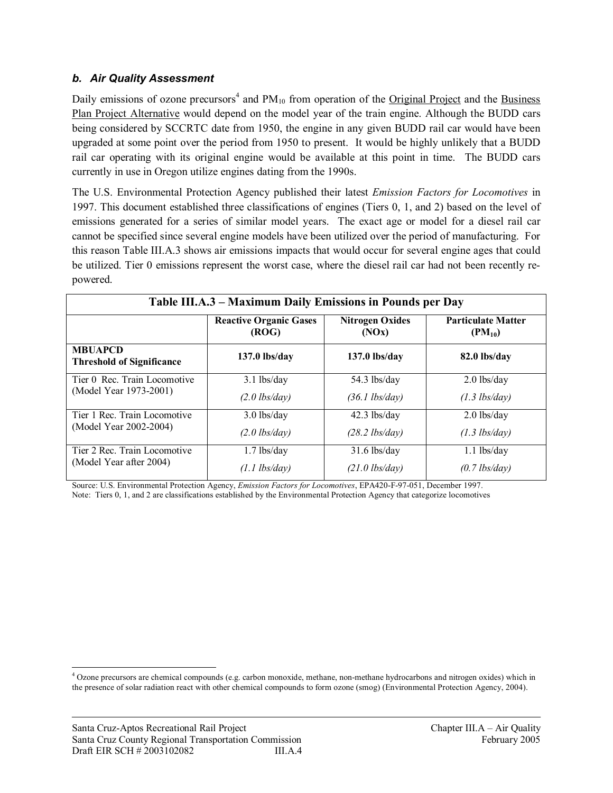#### *b. Air Quality Assessment*

Daily emissions of ozone precursors<sup>4</sup> and PM<sub>10</sub> from operation of the Original Project and the Business Plan Project Alternative would depend on the model year of the train engine. Although the BUDD cars being considered by SCCRTC date from 1950, the engine in any given BUDD rail car would have been upgraded at some point over the period from 1950 to present. It would be highly unlikely that a BUDD rail car operating with its original engine would be available at this point in time. The BUDD cars currently in use in Oregon utilize engines dating from the 1990s.

The U.S. Environmental Protection Agency published their latest *Emission Factors for Locomotives* in 1997. This document established three classifications of engines (Tiers 0, 1, and 2) based on the level of emissions generated for a series of similar model years. The exact age or model for a diesel rail car cannot be specified since several engine models have been utilized over the period of manufacturing. For this reason Table III.A.3 shows air emissions impacts that would occur for several engine ages that could be utilized. Tier 0 emissions represent the worst case, where the diesel rail car had not been recently repowered.

| Table III.A.3 – Maximum Daily Emissions in Pounds per Day |                                        |                                 |                                          |
|-----------------------------------------------------------|----------------------------------------|---------------------------------|------------------------------------------|
|                                                           | <b>Reactive Organic Gases</b><br>(ROG) | <b>Nitrogen Oxides</b><br>(NOx) | <b>Particulate Matter</b><br>$(PM_{10})$ |
| <b>MBUAPCD</b><br><b>Threshold of Significance</b>        | $137.0$ lbs/day                        | $137.0$ lbs/day                 | 82.0 lbs/day                             |
| Tier 0 Rec. Train Locomotive                              | $3.1$ lbs/day                          | $54.3$ lbs/day                  | $2.0$ lbs/day                            |
| (Model Year 1973-2001)                                    | $(2.0$ lbs/day)                        | $(36.1 \text{ lbs}/day)$        | $(1.3 \text{ lbs}/day)$                  |
| Tier 1 Rec. Train Locomotive                              | $3.0$ lbs/day                          | $42.3$ lbs/day                  | $2.0$ lbs/day                            |
| (Model Year 2002-2004)                                    | $(2.0$ lbs/day)                        | $(28.2 \text{ lbs/day})$        | $(1.3 \text{ lbs/day})$                  |
| Tier 2 Rec. Train Locomotive                              | $1.7$ lbs/day                          | $31.6$ lbs/day                  | $1.1$ lbs/day                            |
| (Model Year after 2004)                                   | $(1.1$ lbs/day)                        | $(21.0$ lbs/day)                | $(0.7$ lbs/day)                          |

Source: U.S. Environmental Protection Agency, *Emission Factors for Locomotives*, EPA420-F-97-051, December 1997. Note: Tiers 0, 1, and 2 are classifications established by the Environmental Protection Agency that categorize locomotives

 $\overline{a}$  $4$  Ozone precursors are chemical compounds (e.g. carbon monoxide, methane, non-methane hydrocarbons and nitrogen oxides) which in the presence of solar radiation react with other chemical compounds to form ozone (smog) (Environmental Protection Agency, 2004).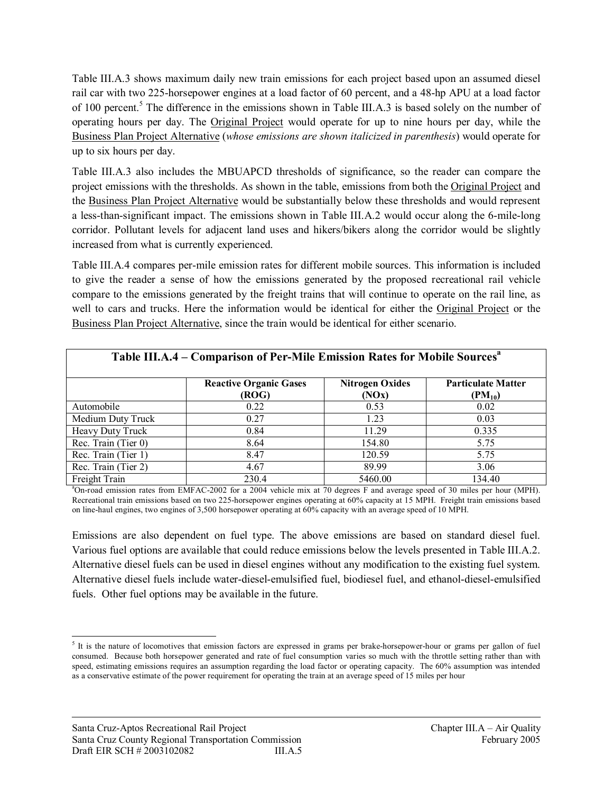Table III.A.3 shows maximum daily new train emissions for each project based upon an assumed diesel rail car with two 225-horsepower engines at a load factor of 60 percent, and a 48-hp APU at a load factor of 100 percent.<sup>5</sup> The difference in the emissions shown in Table III.A.3 is based solely on the number of operating hours per day. The Original Project would operate for up to nine hours per day, while the Business Plan Project Alternative (*whose emissions are shown italicized in parenthesis*) would operate for up to six hours per day.

Table III.A.3 also includes the MBUAPCD thresholds of significance, so the reader can compare the project emissions with the thresholds. As shown in the table, emissions from both the Original Project and the Business Plan Project Alternative would be substantially below these thresholds and would represent a less-than-significant impact. The emissions shown in Table III.A.2 would occur along the 6-mile-long corridor. Pollutant levels for adjacent land uses and hikers/bikers along the corridor would be slightly increased from what is currently experienced.

Table III.A.4 compares per-mile emission rates for different mobile sources. This information is included to give the reader a sense of how the emissions generated by the proposed recreational rail vehicle compare to the emissions generated by the freight trains that will continue to operate on the rail line, as well to cars and trucks. Here the information would be identical for either the Original Project or the Business Plan Project Alternative, since the train would be identical for either scenario.

| Table III.A.4 – Comparison of Per-Mile Emission Rates for Mobile Sources <sup>a</sup> |                                        |                                 |                                          |  |
|---------------------------------------------------------------------------------------|----------------------------------------|---------------------------------|------------------------------------------|--|
|                                                                                       | <b>Reactive Organic Gases</b><br>(ROG) | <b>Nitrogen Oxides</b><br>(NOx) | <b>Particulate Matter</b><br>$(PM_{10})$ |  |
| Automobile                                                                            | 0.22                                   | 0.53                            | 0.02                                     |  |
| Medium Duty Truck                                                                     | 0.27                                   | 1.23                            | 0.03                                     |  |
| Heavy Duty Truck                                                                      | 0.84                                   | 11.29                           | 0.335                                    |  |
| Rec. Train (Tier 0)                                                                   | 8.64                                   | 154.80                          | 5.75                                     |  |
| Rec. Train (Tier 1)                                                                   | 8.47                                   | 120.59                          | 5.75                                     |  |
| Rec. Train (Tier 2)                                                                   | 4.67                                   | 89.99                           | 3.06                                     |  |
| Freight Train                                                                         | 230.4                                  | 5460.00                         | 134.40                                   |  |

<sup>a</sup>On-road emission rates from EMFAC-2002 for a 2004 vehicle mix at 70 degrees F and average speed of 30 miles per hour (MPH). Recreational train emissions based on two 225-horsepower engines operating at 60% capacity at 15 MPH. Freight train emissions based on line-haul engines, two engines of 3,500 horsepower operating at 60% capacity with an average speed of 10 MPH.

Emissions are also dependent on fuel type. The above emissions are based on standard diesel fuel. Various fuel options are available that could reduce emissions below the levels presented in Table III.A.2. Alternative diesel fuels can be used in diesel engines without any modification to the existing fuel system. Alternative diesel fuels include water-diesel-emulsified fuel, biodiesel fuel, and ethanol-diesel-emulsified fuels. Other fuel options may be available in the future.

 $\overline{a}$  $5$  It is the nature of locomotives that emission factors are expressed in grams per brake-horsepower-hour or grams per gallon of fuel consumed. Because both horsepower generated and rate of fuel consumption varies so much with the throttle setting rather than with speed, estimating emissions requires an assumption regarding the load factor or operating capacity. The 60% assumption was intended as a conservative estimate of the power requirement for operating the train at an average speed of 15 miles per hour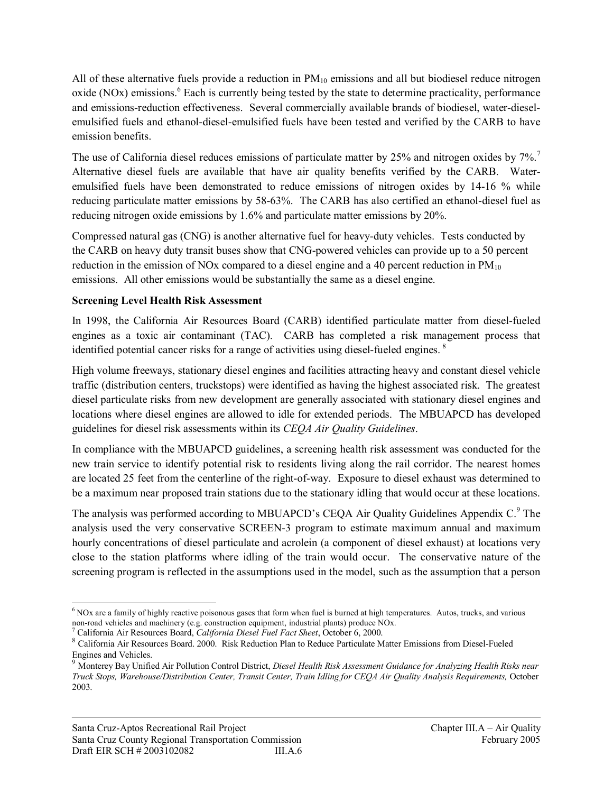All of these alternative fuels provide a reduction in  $PM_{10}$  emissions and all but biodiesel reduce nitrogen oxide (NOx) emissions.<sup>6</sup> Each is currently being tested by the state to determine practicality, performance and emissions-reduction effectiveness. Several commercially available brands of biodiesel, water-dieselemulsified fuels and ethanol-diesel-emulsified fuels have been tested and verified by the CARB to have emission benefits.

The use of California diesel reduces emissions of particulate matter by 25% and nitrogen oxides by 7%.<sup>7</sup> Alternative diesel fuels are available that have air quality benefits verified by the CARB. Wateremulsified fuels have been demonstrated to reduce emissions of nitrogen oxides by 14-16 % while reducing particulate matter emissions by 58-63%. The CARB has also certified an ethanol-diesel fuel as reducing nitrogen oxide emissions by 1.6% and particulate matter emissions by 20%.

Compressed natural gas (CNG) is another alternative fuel for heavy-duty vehicles. Tests conducted by the CARB on heavy duty transit buses show that CNG-powered vehicles can provide up to a 50 percent reduction in the emission of NOx compared to a diesel engine and a 40 percent reduction in  $PM_{10}$ emissions. All other emissions would be substantially the same as a diesel engine.

#### **Screening Level Health Risk Assessment**

In 1998, the California Air Resources Board (CARB) identified particulate matter from diesel-fueled engines as a toxic air contaminant (TAC). CARB has completed a risk management process that identified potential cancer risks for a range of activities using diesel-fueled engines.<sup>8</sup>

High volume freeways, stationary diesel engines and facilities attracting heavy and constant diesel vehicle traffic (distribution centers, truckstops) were identified as having the highest associated risk. The greatest diesel particulate risks from new development are generally associated with stationary diesel engines and locations where diesel engines are allowed to idle for extended periods. The MBUAPCD has developed guidelines for diesel risk assessments within its *CEQA Air Quality Guidelines*.

In compliance with the MBUAPCD guidelines, a screening health risk assessment was conducted for the new train service to identify potential risk to residents living along the rail corridor. The nearest homes are located 25 feet from the centerline of the right-of-way. Exposure to diesel exhaust was determined to be a maximum near proposed train stations due to the stationary idling that would occur at these locations.

The analysis was performed according to MBUAPCD's CEQA Air Quality Guidelines Appendix C.<sup>9</sup> The analysis used the very conservative SCREEN-3 program to estimate maximum annual and maximum hourly concentrations of diesel particulate and acrolein (a component of diesel exhaust) at locations very close to the station platforms where idling of the train would occur. The conservative nature of the screening program is reflected in the assumptions used in the model, such as the assumption that a person

<sup>-</sup> $6$  NOx are a family of highly reactive poisonous gases that form when fuel is burned at high temperatures. Autos, trucks, and various non-road vehicles and machinery (e.g. construction equipment, industrial plants) produce NOx.

<sup>7</sup> California Air Resources Board, *California Diesel Fuel Fact Sheet*, October 6, 2000.

<sup>8</sup> California Air Resources Board. 2000. Risk Reduction Plan to Reduce Particulate Matter Emissions from Diesel-Fueled Engines and Vehicles.

<sup>9</sup> Monterey Bay Unified Air Pollution Control District, *Diesel Health Risk Assessment Guidance for Analyzing Health Risks near Truck Stops, Warehouse/Distribution Center, Transit Center, Train Idling for CEQA Air Quality Analysis Requirements,* October 2003.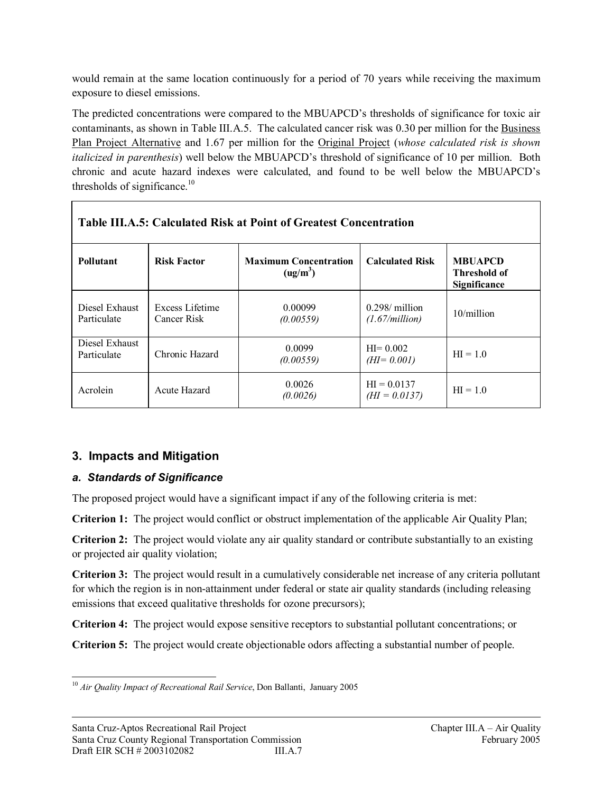would remain at the same location continuously for a period of 70 years while receiving the maximum exposure to diesel emissions.

The predicted concentrations were compared to the MBUAPCD's thresholds of significance for toxic air contaminants, as shown in Table III.A.5. The calculated cancer risk was 0.30 per million for the Business Plan Project Alternative and 1.67 per million for the Original Project (*whose calculated risk is shown italicized in parenthesis*) well below the MBUAPCD's threshold of significance of 10 per million. Both chronic and acute hazard indexes were calculated, and found to be well below the MBUAPCD's thresholds of significance. $10$ 

| Table III.A.5: Calculated Risk at Point of Greatest Concentration |                                |                                                      |                                     |                                                |
|-------------------------------------------------------------------|--------------------------------|------------------------------------------------------|-------------------------------------|------------------------------------------------|
| <b>Pollutant</b>                                                  | <b>Risk Factor</b>             | <b>Maximum Concentration</b><br>(ug/m <sup>3</sup> ) | <b>Calculated Risk</b>              | <b>MBUAPCD</b><br>Threshold of<br>Significance |
| Diesel Exhaust<br>Particulate                                     | Excess Lifetime<br>Cancer Risk | 0.00099<br>(0.00559)                                 | $0.298$ / million<br>(1.67/million) | $10/m$ illion                                  |
| Diesel Exhaust<br>Particulate                                     | Chronic Hazard                 | 0.0099<br>(0.00559)                                  | $HI = 0.002$<br>$(HI = 0.001)$      | $HI = 1.0$                                     |
| Acrolein                                                          | Acute Hazard                   | 0.0026<br>(0.0026)                                   | $HI = 0.0137$<br>$(HI = 0.0137)$    | $HI = 1.0$                                     |

# **3. Impacts and Mitigation**

### *a. Standards of Significance*

The proposed project would have a significant impact if any of the following criteria is met:

**Criterion 1:** The project would conflict or obstruct implementation of the applicable Air Quality Plan;

**Criterion 2:** The project would violate any air quality standard or contribute substantially to an existing or projected air quality violation;

**Criterion 3:** The project would result in a cumulatively considerable net increase of any criteria pollutant for which the region is in non-attainment under federal or state air quality standards (including releasing emissions that exceed qualitative thresholds for ozone precursors);

**Criterion 4:** The project would expose sensitive receptors to substantial pollutant concentrations; or

**Criterion 5:** The project would create objectionable odors affecting a substantial number of people.

 $\overline{a}$ <sup>10</sup> *Air Quality Impact of Recreational Rail Service*, Don Ballanti, January 2005